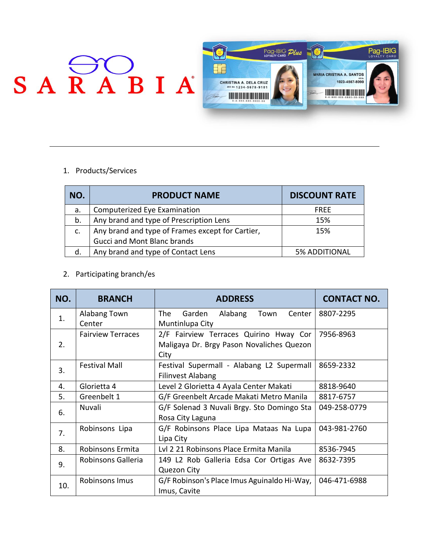

1. Products/Services

| NO.           | <b>PRODUCT NAME</b>                              | <b>DISCOUNT RATE</b> |
|---------------|--------------------------------------------------|----------------------|
| a.            | Computerized Eye Examination                     | <b>FRFF</b>          |
| b.            | Any brand and type of Prescription Lens          | 15%                  |
| $C_{\bullet}$ | Any brand and type of Frames except for Cartier, | 15%                  |
|               | <b>Gucci and Mont Blanc brands</b>               |                      |
| d.            | Any brand and type of Contact Lens               | <b>5% ADDITIONAL</b> |

2. Participating branch/es

| NO. | <b>BRANCH</b>            | <b>ADDRESS</b>                                                                              | <b>CONTACT NO.</b> |
|-----|--------------------------|---------------------------------------------------------------------------------------------|--------------------|
| 1.  | Alabang Town<br>Center   | The<br>Garden<br>Alabang<br>Center<br>Town<br>Muntinlupa City                               | 8807-2295          |
| 2.  | <b>Fairview Terraces</b> | 2/F Fairview Terraces Quirino Hway Cor<br>Maligaya Dr. Brgy Pason Novaliches Quezon<br>City | 7956-8963          |
| 3.  | <b>Festival Mall</b>     | Festival Supermall - Alabang L2 Supermall<br><b>Filinvest Alabang</b>                       | 8659-2332          |
| 4.  | Glorietta 4              | Level 2 Glorietta 4 Ayala Center Makati                                                     | 8818-9640          |
| 5.  | Greenbelt 1              | G/F Greenbelt Arcade Makati Metro Manila                                                    | 8817-6757          |
| 6.  | Nuvali                   | G/F Solenad 3 Nuvali Brgy. Sto Domingo Sta<br>Rosa City Laguna                              | 049-258-0779       |
| 7.  | Robinsons Lipa           | G/F Robinsons Place Lipa Mataas Na Lupa<br>Lipa City                                        | 043-981-2760       |
| 8.  | Robinsons Ermita         | Lvl 2 21 Robinsons Place Ermita Manila                                                      | 8536-7945          |
| 9.  | Robinsons Galleria       | 149 L2 Rob Galleria Edsa Cor Ortigas Ave<br><b>Quezon City</b>                              | 8632-7395          |
| 10. | Robinsons Imus           | G/F Robinson's Place Imus Aguinaldo Hi-Way,<br>Imus, Cavite                                 | 046-471-6988       |